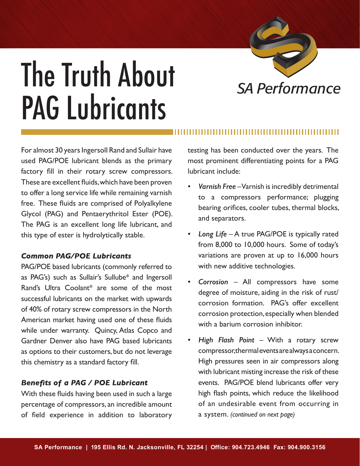

# **The Truth About** SA Performance PAG Lubricants

For almost 30 years Ingersoll Rand and Sullair have used PAG/POE lubricant blends as the primary factory fill in their rotary screw compressors. These are excellent fluids, which have been proven to offer a long service life while remaining varnish free. These fluids are comprised of Polyalkylene Glycol (PAG) and Pentaerythritol Ester (POE). The PAG is an excellent long life lubricant, and this type of ester is hydrolytically stable.

# *Common PAG/POE Lubricants*

PAG/POE based lubricants (commonly referred to as PAG's) such as Sullair's Sullube\* and Ingersoll Rand's Ultra Coolant\* are some of the most successful lubricants on the market with upwards of 40% of rotary screw compressors in the North American market having used one of these fluids while under warranty. Quincy, Atlas Copco and Gardner Denver also have PAG based lubricants as options to their customers, but do not leverage this chemistry as a standard factory fill.

# *Benefits of a PAG / POE Lubricant*

With these fluids having been used in such a large percentage of compressors, an incredible amount of field experience in addition to laboratory testing has been conducted over the years. The most prominent differentiating points for a PAG lubricant include:

- *• Varnish Free* Varnish is incredibly detrimental to a compressors performance; plugging bearing orifices, cooler tubes, thermal blocks, and separators.
- *• Long Life* A true PAG/POE is typically rated from 8,000 to 10,000 hours. Some of today's variations are proven at up to 16,000 hours with new additive technologies.
- Corrosion All compressors have some degree of moisture, aiding in the risk of rust/ corrosion formation. PAG's offer excellent corrosion protection, especially when blended with a barium corrosion inhibitor.
- *• High Flash Point* With a rotary screw compressor, thermal events are always a concern. High pressures seen in air compressors along with lubricant misting increase the risk of these events. PAG/POE blend lubricants offer very high flash points, which reduce the likelihood of an undesirable event from occurring in a system. *(continued on next page)*